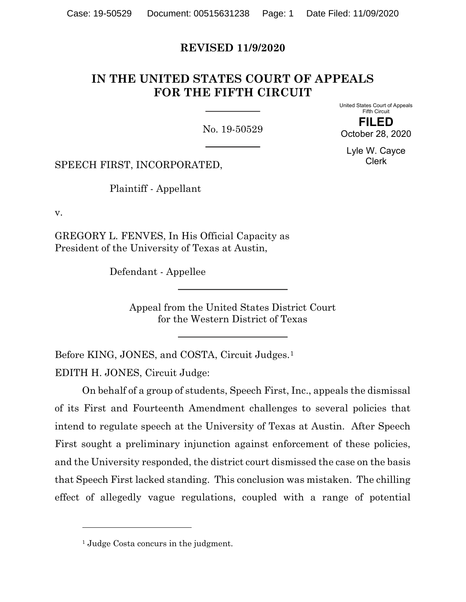# REVISED 11/9/2020

# IN THE UNITED STATES COURT OF APPEALS FOR THE FIFTH CIRCUIT

No. 19-50529

United States Court of Appeals Fifth Circuit

FILED October 28, 2020

Lyle W. Cayce Clerk

SPEECH FIRST, INCORPORATED,

Plaintiff - Appellant

v.

GREGORY L. FENVES, In His Official Capacity as President of the University of Texas at Austin,

Defendant - Appellee

Appeal from the United States District Court for the Western District of Texas

Before KING, JONES, and COSTA, Circuit Judges.<sup>1</sup> EDITH H. JONES, Circuit Judge:

 On behalf of a group of students, Speech First, Inc., appeals the dismissal of its First and Fourteenth Amendment challenges to several policies that intend to regulate speech at the University of Texas at Austin. After Speech First sought a preliminary injunction against enforcement of these policies, and the University responded, the district court dismissed the case on the basis that Speech First lacked standing. This conclusion was mistaken. The chilling effect of allegedly vague regulations, coupled with a range of potential

<sup>&</sup>lt;sup>1</sup> Judge Costa concurs in the judgment.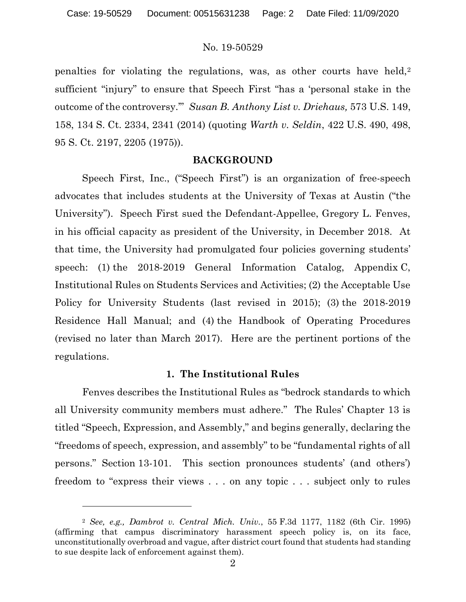penalties for violating the regulations, was, as other courts have held,<sup>2</sup> sufficient "injury" to ensure that Speech First "has a 'personal stake in the outcome of the controversy.'" Susan B. Anthony List v. Driehaus, 573 U.S. 149, 158, 134 S. Ct. 2334, 2341 (2014) (quoting Warth v. Seldin, 422 U.S. 490, 498, 95 S. Ct. 2197, 2205 (1975)).

#### BACKGROUND

 Speech First, Inc., ("Speech First") is an organization of free-speech advocates that includes students at the University of Texas at Austin ("the University"). Speech First sued the Defendant-Appellee, Gregory L. Fenves, in his official capacity as president of the University, in December 2018. At that time, the University had promulgated four policies governing students' speech: (1) the 2018-2019 General Information Catalog, Appendix C, Institutional Rules on Students Services and Activities; (2) the Acceptable Use Policy for University Students (last revised in 2015); (3) the 2018-2019 Residence Hall Manual; and (4) the Handbook of Operating Procedures (revised no later than March 2017). Here are the pertinent portions of the regulations.

#### 1. The Institutional Rules

Fenves describes the Institutional Rules as "bedrock standards to which all University community members must adhere." The Rules' Chapter 13 is titled "Speech, Expression, and Assembly," and begins generally, declaring the "freedoms of speech, expression, and assembly" to be "fundamental rights of all persons." Section 13-101. This section pronounces students' (and others') freedom to "express their views . . . on any topic . . . subject only to rules

<sup>2</sup> See, e.g., Dambrot v. Central Mich. Univ., 55 F.3d 1177, 1182 (6th Cir. 1995) (affirming that campus discriminatory harassment speech policy is, on its face, unconstitutionally overbroad and vague, after district court found that students had standing to sue despite lack of enforcement against them).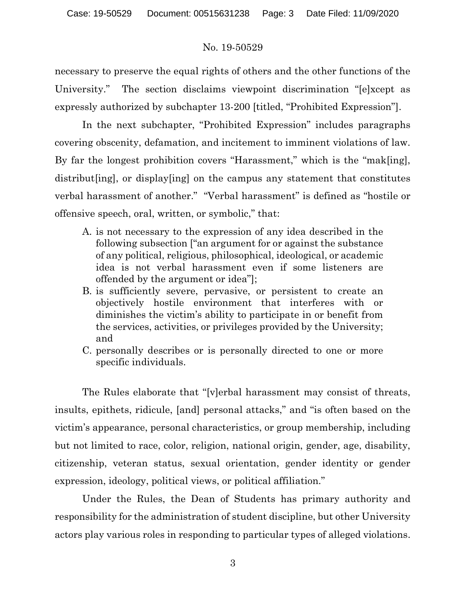necessary to preserve the equal rights of others and the other functions of the University." The section disclaims viewpoint discrimination "[e]xcept as expressly authorized by subchapter 13-200 [titled, "Prohibited Expression"].

In the next subchapter, "Prohibited Expression" includes paragraphs covering obscenity, defamation, and incitement to imminent violations of law. By far the longest prohibition covers "Harassment," which is the "mak[ing], distribut[ing], or display[ing] on the campus any statement that constitutes verbal harassment of another." "Verbal harassment" is defined as "hostile or offensive speech, oral, written, or symbolic," that:

- A. is not necessary to the expression of any idea described in the following subsection ["an argument for or against the substance of any political, religious, philosophical, ideological, or academic idea is not verbal harassment even if some listeners are offended by the argument or idea"];
- B. is sufficiently severe, pervasive, or persistent to create an objectively hostile environment that interferes with or diminishes the victim's ability to participate in or benefit from the services, activities, or privileges provided by the University; and
- C. personally describes or is personally directed to one or more specific individuals.

The Rules elaborate that "[v]erbal harassment may consist of threats, insults, epithets, ridicule, [and] personal attacks," and "is often based on the victim's appearance, personal characteristics, or group membership, including but not limited to race, color, religion, national origin, gender, age, disability, citizenship, veteran status, sexual orientation, gender identity or gender expression, ideology, political views, or political affiliation."

Under the Rules, the Dean of Students has primary authority and responsibility for the administration of student discipline, but other University actors play various roles in responding to particular types of alleged violations.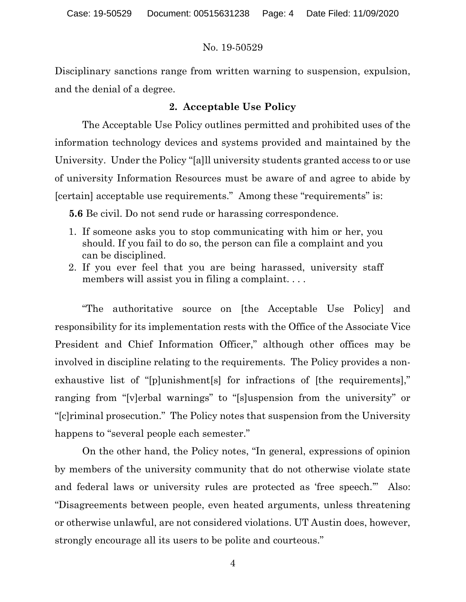Disciplinary sanctions range from written warning to suspension, expulsion, and the denial of a degree.

# 2. Acceptable Use Policy

The Acceptable Use Policy outlines permitted and prohibited uses of the information technology devices and systems provided and maintained by the University. Under the Policy "[a]ll university students granted access to or use of university Information Resources must be aware of and agree to abide by [certain] acceptable use requirements." Among these "requirements" is:

5.6 Be civil. Do not send rude or harassing correspondence.

- 1. If someone asks you to stop communicating with him or her, you should. If you fail to do so, the person can file a complaint and you can be disciplined.
- 2. If you ever feel that you are being harassed, university staff members will assist you in filing a complaint. . . .

 "The authoritative source on [the Acceptable Use Policy] and responsibility for its implementation rests with the Office of the Associate Vice President and Chief Information Officer," although other offices may be involved in discipline relating to the requirements. The Policy provides a nonexhaustive list of "[p]unishment[s] for infractions of [the requirements]," ranging from "[v]erbal warnings" to "[s]uspension from the university" or "[c]riminal prosecution." The Policy notes that suspension from the University happens to "several people each semester."

On the other hand, the Policy notes, "In general, expressions of opinion by members of the university community that do not otherwise violate state and federal laws or university rules are protected as 'free speech.'" Also: "Disagreements between people, even heated arguments, unless threatening or otherwise unlawful, are not considered violations. UT Austin does, however, strongly encourage all its users to be polite and courteous."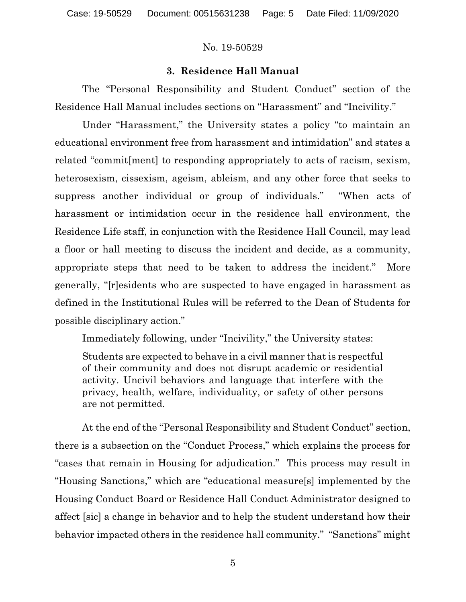# 3. Residence Hall Manual

The "Personal Responsibility and Student Conduct" section of the Residence Hall Manual includes sections on "Harassment" and "Incivility."

Under "Harassment," the University states a policy "to maintain an educational environment free from harassment and intimidation" and states a related "commit[ment] to responding appropriately to acts of racism, sexism, heterosexism, cissexism, ageism, ableism, and any other force that seeks to suppress another individual or group of individuals." "When acts of harassment or intimidation occur in the residence hall environment, the Residence Life staff, in conjunction with the Residence Hall Council, may lead a floor or hall meeting to discuss the incident and decide, as a community, appropriate steps that need to be taken to address the incident." More generally, "[r]esidents who are suspected to have engaged in harassment as defined in the Institutional Rules will be referred to the Dean of Students for possible disciplinary action."

Immediately following, under "Incivility," the University states:

Students are expected to behave in a civil manner that is respectful of their community and does not disrupt academic or residential activity. Uncivil behaviors and language that interfere with the privacy, health, welfare, individuality, or safety of other persons are not permitted.

 At the end of the "Personal Responsibility and Student Conduct" section, there is a subsection on the "Conduct Process," which explains the process for "cases that remain in Housing for adjudication." This process may result in "Housing Sanctions," which are "educational measure[s] implemented by the Housing Conduct Board or Residence Hall Conduct Administrator designed to affect [sic] a change in behavior and to help the student understand how their behavior impacted others in the residence hall community." "Sanctions" might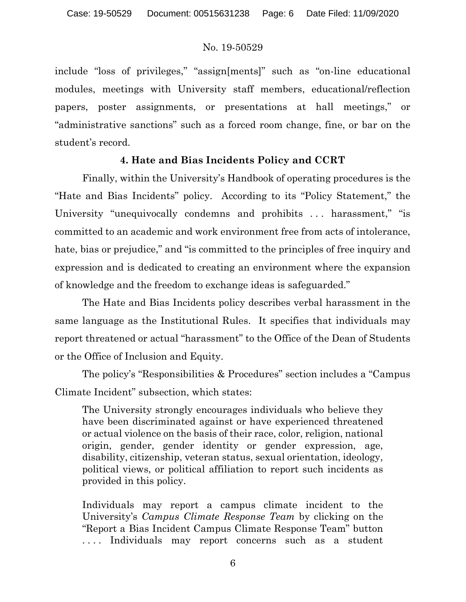include "loss of privileges," "assign[ments]" such as "on-line educational modules, meetings with University staff members, educational/reflection papers, poster assignments, or presentations at hall meetings," or "administrative sanctions" such as a forced room change, fine, or bar on the student's record.

# 4. Hate and Bias Incidents Policy and CCRT

Finally, within the University's Handbook of operating procedures is the "Hate and Bias Incidents" policy. According to its "Policy Statement," the University "unequivocally condemns and prohibits ... harassment," "is committed to an academic and work environment free from acts of intolerance, hate, bias or prejudice," and "is committed to the principles of free inquiry and expression and is dedicated to creating an environment where the expansion of knowledge and the freedom to exchange ideas is safeguarded."

The Hate and Bias Incidents policy describes verbal harassment in the same language as the Institutional Rules. It specifies that individuals may report threatened or actual "harassment" to the Office of the Dean of Students or the Office of Inclusion and Equity.

The policy's "Responsibilities & Procedures" section includes a "Campus Climate Incident" subsection, which states:

The University strongly encourages individuals who believe they have been discriminated against or have experienced threatened or actual violence on the basis of their race, color, religion, national origin, gender, gender identity or gender expression, age, disability, citizenship, veteran status, sexual orientation, ideology, political views, or political affiliation to report such incidents as provided in this policy.

Individuals may report a campus climate incident to the University's Campus Climate Response Team by clicking on the "Report a Bias Incident Campus Climate Response Team" button .... Individuals may report concerns such as a student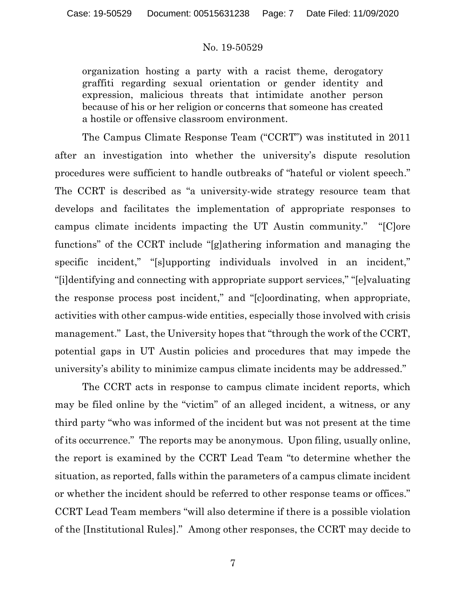organization hosting a party with a racist theme, derogatory graffiti regarding sexual orientation or gender identity and expression, malicious threats that intimidate another person because of his or her religion or concerns that someone has created a hostile or offensive classroom environment.

The Campus Climate Response Team ("CCRT") was instituted in 2011 after an investigation into whether the university's dispute resolution procedures were sufficient to handle outbreaks of "hateful or violent speech." The CCRT is described as "a university-wide strategy resource team that develops and facilitates the implementation of appropriate responses to campus climate incidents impacting the UT Austin community." "[C]ore functions" of the CCRT include "[g]athering information and managing the specific incident," "[s]upporting individuals involved in an incident," "[i]dentifying and connecting with appropriate support services," "[e]valuating the response process post incident," and "[c]oordinating, when appropriate, activities with other campus-wide entities, especially those involved with crisis management." Last, the University hopes that "through the work of the CCRT, potential gaps in UT Austin policies and procedures that may impede the university's ability to minimize campus climate incidents may be addressed."

The CCRT acts in response to campus climate incident reports, which may be filed online by the "victim" of an alleged incident, a witness, or any third party "who was informed of the incident but was not present at the time of its occurrence." The reports may be anonymous. Upon filing, usually online, the report is examined by the CCRT Lead Team "to determine whether the situation, as reported, falls within the parameters of a campus climate incident or whether the incident should be referred to other response teams or offices." CCRT Lead Team members "will also determine if there is a possible violation of the [Institutional Rules]." Among other responses, the CCRT may decide to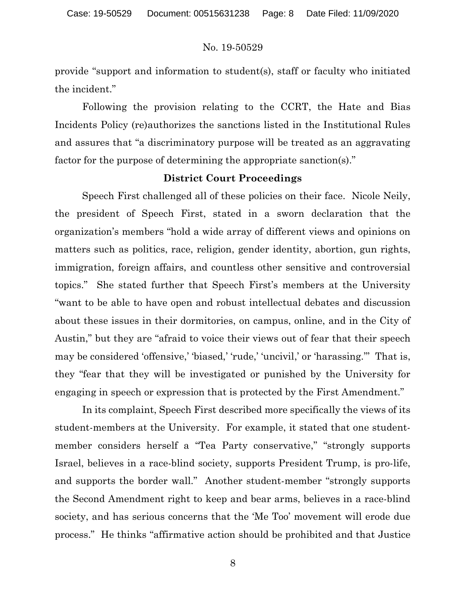provide "support and information to student(s), staff or faculty who initiated the incident."

Following the provision relating to the CCRT, the Hate and Bias Incidents Policy (re)authorizes the sanctions listed in the Institutional Rules and assures that "a discriminatory purpose will be treated as an aggravating factor for the purpose of determining the appropriate sanction(s)."

#### District Court Proceedings

 Speech First challenged all of these policies on their face. Nicole Neily, the president of Speech First, stated in a sworn declaration that the organization's members "hold a wide array of different views and opinions on matters such as politics, race, religion, gender identity, abortion, gun rights, immigration, foreign affairs, and countless other sensitive and controversial topics." She stated further that Speech First's members at the University "want to be able to have open and robust intellectual debates and discussion about these issues in their dormitories, on campus, online, and in the City of Austin," but they are "afraid to voice their views out of fear that their speech may be considered 'offensive,' 'biased,' 'rude,' 'uncivil,' or 'harassing.'" That is, they "fear that they will be investigated or punished by the University for engaging in speech or expression that is protected by the First Amendment."

In its complaint, Speech First described more specifically the views of its student-members at the University. For example, it stated that one studentmember considers herself a "Tea Party conservative," "strongly supports Israel, believes in a race-blind society, supports President Trump, is pro-life, and supports the border wall." Another student-member "strongly supports the Second Amendment right to keep and bear arms, believes in a race-blind society, and has serious concerns that the 'Me Too' movement will erode due process." He thinks "affirmative action should be prohibited and that Justice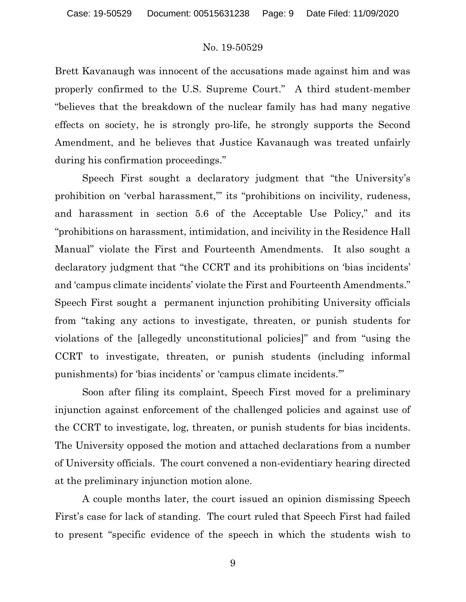Brett Kavanaugh was innocent of the accusations made against him and was properly confirmed to the U.S. Supreme Court." A third student-member "believes that the breakdown of the nuclear family has had many negative effects on society, he is strongly pro-life, he strongly supports the Second Amendment, and he believes that Justice Kavanaugh was treated unfairly during his confirmation proceedings."

Speech First sought a declaratory judgment that "the University's prohibition on 'verbal harassment,''' its "prohibitions on incivility, rudeness, and harassment in section 5.6 of the Acceptable Use Policy," and its "prohibitions on harassment, intimidation, and incivility in the Residence Hall Manual" violate the First and Fourteenth Amendments. It also sought a declaratory judgment that "the CCRT and its prohibitions on 'bias incidents' and 'campus climate incidents' violate the First and Fourteenth Amendments." Speech First sought a permanent injunction prohibiting University officials from "taking any actions to investigate, threaten, or punish students for violations of the [allegedly unconstitutional policies]" and from "using the CCRT to investigate, threaten, or punish students (including informal punishments) for 'bias incidents' or 'campus climate incidents.'"

Soon after filing its complaint, Speech First moved for a preliminary injunction against enforcement of the challenged policies and against use of the CCRT to investigate, log, threaten, or punish students for bias incidents. The University opposed the motion and attached declarations from a number of University officials. The court convened a non-evidentiary hearing directed at the preliminary injunction motion alone.

A couple months later, the court issued an opinion dismissing Speech First's case for lack of standing. The court ruled that Speech First had failed to present "specific evidence of the speech in which the students wish to

9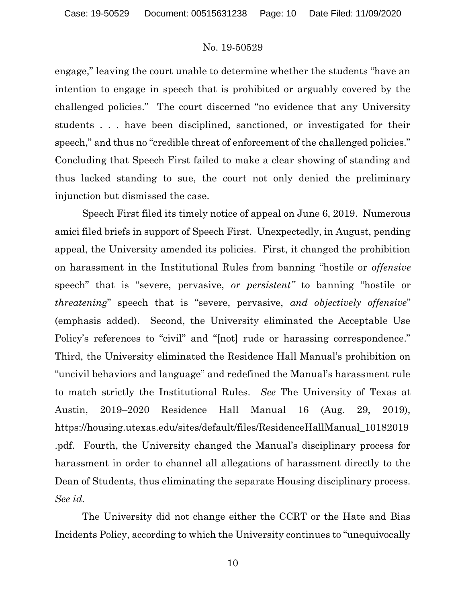engage," leaving the court unable to determine whether the students "have an intention to engage in speech that is prohibited or arguably covered by the challenged policies." The court discerned "no evidence that any University students . . . have been disciplined, sanctioned, or investigated for their speech," and thus no "credible threat of enforcement of the challenged policies." Concluding that Speech First failed to make a clear showing of standing and thus lacked standing to sue, the court not only denied the preliminary injunction but dismissed the case.

Speech First filed its timely notice of appeal on June 6, 2019. Numerous amici filed briefs in support of Speech First. Unexpectedly, in August, pending appeal, the University amended its policies. First, it changed the prohibition on harassment in the Institutional Rules from banning "hostile or offensive speech" that is "severe, pervasive, or persistent" to banning "hostile or threatening" speech that is "severe, pervasive, and objectively offensive" (emphasis added). Second, the University eliminated the Acceptable Use Policy's references to "civil" and "[not] rude or harassing correspondence." Third, the University eliminated the Residence Hall Manual's prohibition on "uncivil behaviors and language" and redefined the Manual's harassment rule to match strictly the Institutional Rules. See The University of Texas at Austin, 2019–2020 Residence Hall Manual 16 (Aug. 29, 2019), https://housing.utexas.edu/sites/default/files/ResidenceHallManual\_10182019 .pdf. Fourth, the University changed the Manual's disciplinary process for harassment in order to channel all allegations of harassment directly to the Dean of Students, thus eliminating the separate Housing disciplinary process. See id.

The University did not change either the CCRT or the Hate and Bias Incidents Policy, according to which the University continues to "unequivocally

10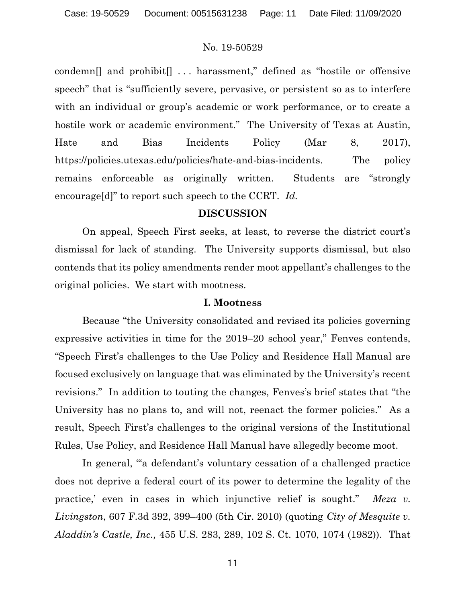condemn[] and prohibit[] . . . harassment," defined as "hostile or offensive speech" that is "sufficiently severe, pervasive, or persistent so as to interfere with an individual or group's academic or work performance, or to create a hostile work or academic environment." The University of Texas at Austin, Hate and Bias Incidents Policy (Mar 8, 2017), https://policies.utexas.edu/policies/hate-and-bias-incidents. The policy remains enforceable as originally written. Students are "strongly encourage[d]" to report such speech to the CCRT. Id.

# DISCUSSION

On appeal, Speech First seeks, at least, to reverse the district court's dismissal for lack of standing. The University supports dismissal, but also contends that its policy amendments render moot appellant's challenges to the original policies. We start with mootness.

# I. Mootness

Because "the University consolidated and revised its policies governing expressive activities in time for the 2019–20 school year," Fenves contends, "Speech First's challenges to the Use Policy and Residence Hall Manual are focused exclusively on language that was eliminated by the University's recent revisions." In addition to touting the changes, Fenves's brief states that "the University has no plans to, and will not, reenact the former policies." As a result, Speech First's challenges to the original versions of the Institutional Rules, Use Policy, and Residence Hall Manual have allegedly become moot.

In general, "'a defendant's voluntary cessation of a challenged practice does not deprive a federal court of its power to determine the legality of the practice,' even in cases in which injunctive relief is sought." Meza v. Livingston, 607 F.3d 392, 399–400 (5th Cir. 2010) (quoting City of Mesquite v. Aladdin's Castle, Inc., 455 U.S. 283, 289, 102 S. Ct. 1070, 1074 (1982)). That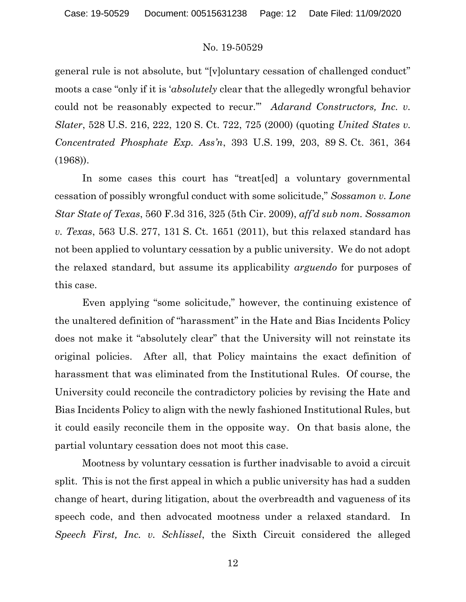general rule is not absolute, but "[v]oluntary cessation of challenged conduct" moots a case "only if it is 'absolutely clear that the allegedly wrongful behavior could not be reasonably expected to recur." Adarand Constructors, Inc. v. Slater, 528 U.S. 216, 222, 120 S. Ct. 722, 725 (2000) (quoting United States v. Concentrated Phosphate Exp. Ass'n, 393 U.S. 199, 203, 89 S. Ct. 361, 364 (1968)).

In some cases this court has "treat[ed] a voluntary governmental cessation of possibly wrongful conduct with some solicitude," Sossamon v. Lone Star State of Texas, 560 F.3d 316, 325 (5th Cir. 2009), aff'd sub nom. Sossamon v. Texas, 563 U.S. 277, 131 S. Ct. 1651 (2011), but this relaxed standard has not been applied to voluntary cessation by a public university. We do not adopt the relaxed standard, but assume its applicability arguendo for purposes of this case.

Even applying "some solicitude," however, the continuing existence of the unaltered definition of "harassment" in the Hate and Bias Incidents Policy does not make it "absolutely clear" that the University will not reinstate its original policies. After all, that Policy maintains the exact definition of harassment that was eliminated from the Institutional Rules. Of course, the University could reconcile the contradictory policies by revising the Hate and Bias Incidents Policy to align with the newly fashioned Institutional Rules, but it could easily reconcile them in the opposite way. On that basis alone, the partial voluntary cessation does not moot this case.

Mootness by voluntary cessation is further inadvisable to avoid a circuit split. This is not the first appeal in which a public university has had a sudden change of heart, during litigation, about the overbreadth and vagueness of its speech code, and then advocated mootness under a relaxed standard. In Speech First, Inc. v. Schlissel, the Sixth Circuit considered the alleged

12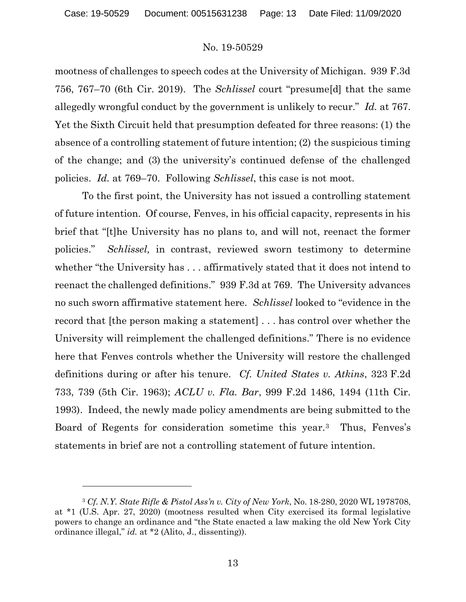mootness of challenges to speech codes at the University of Michigan. 939 F.3d 756, 767–70 (6th Cir. 2019). The Schlissel court "presume[d] that the same allegedly wrongful conduct by the government is unlikely to recur." Id. at 767. Yet the Sixth Circuit held that presumption defeated for three reasons: (1) the absence of a controlling statement of future intention; (2) the suspicious timing of the change; and (3) the university's continued defense of the challenged policies. Id. at 769–70. Following Schlissel, this case is not moot.

To the first point, the University has not issued a controlling statement of future intention. Of course, Fenves, in his official capacity, represents in his brief that "[t]he University has no plans to, and will not, reenact the former policies." Schlissel, in contrast, reviewed sworn testimony to determine whether "the University has . . . affirmatively stated that it does not intend to reenact the challenged definitions." 939 F.3d at 769. The University advances no such sworn affirmative statement here. Schlissel looked to "evidence in the record that [the person making a statement] . . . has control over whether the University will reimplement the challenged definitions." There is no evidence here that Fenves controls whether the University will restore the challenged definitions during or after his tenure. Cf. United States v. Atkins, 323 F.2d 733, 739 (5th Cir. 1963); ACLU v. Fla. Bar, 999 F.2d 1486, 1494 (11th Cir. 1993). Indeed, the newly made policy amendments are being submitted to the Board of Regents for consideration sometime this year.3 Thus, Fenves's statements in brief are not a controlling statement of future intention.

<sup>3</sup> Cf. N.Y. State Rifle & Pistol Ass'n v. City of New York, No. 18-280, 2020 WL 1978708, at \*1 (U.S. Apr. 27, 2020) (mootness resulted when City exercised its formal legislative powers to change an ordinance and "the State enacted a law making the old New York City ordinance illegal," id. at \*2 (Alito, J., dissenting)).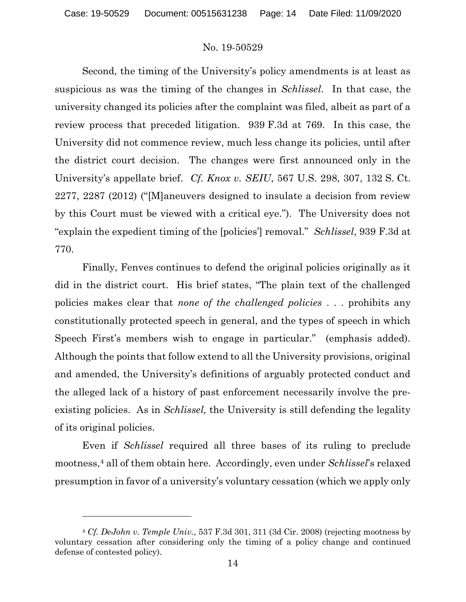Second, the timing of the University's policy amendments is at least as suspicious as was the timing of the changes in Schlissel. In that case, the university changed its policies after the complaint was filed, albeit as part of a review process that preceded litigation. 939 F.3d at 769. In this case, the University did not commence review, much less change its policies, until after the district court decision. The changes were first announced only in the University's appellate brief. Cf. Knox v. SEIU, 567 U.S. 298, 307, 132 S. Ct. 2277, 2287 (2012) ("[M]aneuvers designed to insulate a decision from review by this Court must be viewed with a critical eye."). The University does not "explain the expedient timing of the [policies'] removal." Schlissel, 939 F.3d at 770.

 Finally, Fenves continues to defend the original policies originally as it did in the district court. His brief states, "The plain text of the challenged policies makes clear that none of the challenged policies . . . prohibits any constitutionally protected speech in general, and the types of speech in which Speech First's members wish to engage in particular." (emphasis added). Although the points that follow extend to all the University provisions, original and amended, the University's definitions of arguably protected conduct and the alleged lack of a history of past enforcement necessarily involve the preexisting policies. As in *Schlissel*, the University is still defending the legality of its original policies.

 Even if Schlissel required all three bases of its ruling to preclude mootness,<sup>4</sup> all of them obtain here. Accordingly, even under *Schlissel's* relaxed presumption in favor of a university's voluntary cessation (which we apply only

<sup>4</sup> Cf. DeJohn v. Temple Univ., 537 F.3d 301, 311 (3d Cir. 2008) (rejecting mootness by voluntary cessation after considering only the timing of a policy change and continued defense of contested policy).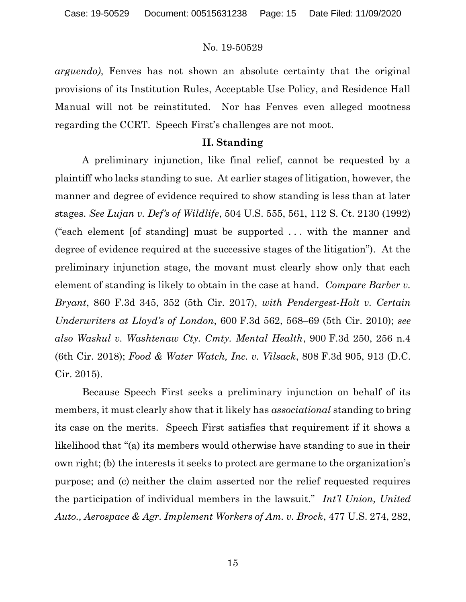arguendo), Fenves has not shown an absolute certainty that the original provisions of its Institution Rules, Acceptable Use Policy, and Residence Hall Manual will not be reinstituted. Nor has Fenves even alleged mootness regarding the CCRT. Speech First's challenges are not moot.

### II. Standing

 A preliminary injunction, like final relief, cannot be requested by a plaintiff who lacks standing to sue. At earlier stages of litigation, however, the manner and degree of evidence required to show standing is less than at later stages. See Lujan v. Def's of Wildlife, 504 U.S. 555, 561, 112 S. Ct. 2130 (1992) ("each element [of standing] must be supported . . . with the manner and degree of evidence required at the successive stages of the litigation"). At the preliminary injunction stage, the movant must clearly show only that each element of standing is likely to obtain in the case at hand. Compare Barber v. Bryant, 860 F.3d 345, 352 (5th Cir. 2017), with Pendergest-Holt v. Certain Underwriters at Lloyd's of London, 600 F.3d 562, 568–69 (5th Cir. 2010); see also Waskul v. Washtenaw Cty. Cmty. Mental Health, 900 F.3d 250, 256 n.4 (6th Cir. 2018); Food & Water Watch, Inc. v. Vilsack, 808 F.3d 905, 913 (D.C. Cir. 2015).

Because Speech First seeks a preliminary injunction on behalf of its members, it must clearly show that it likely has *associational* standing to bring its case on the merits. Speech First satisfies that requirement if it shows a likelihood that "(a) its members would otherwise have standing to sue in their own right; (b) the interests it seeks to protect are germane to the organization's purpose; and (c) neither the claim asserted nor the relief requested requires the participation of individual members in the lawsuit." Int'l Union, United Auto., Aerospace & Agr. Implement Workers of Am. v. Brock, 477 U.S. 274, 282,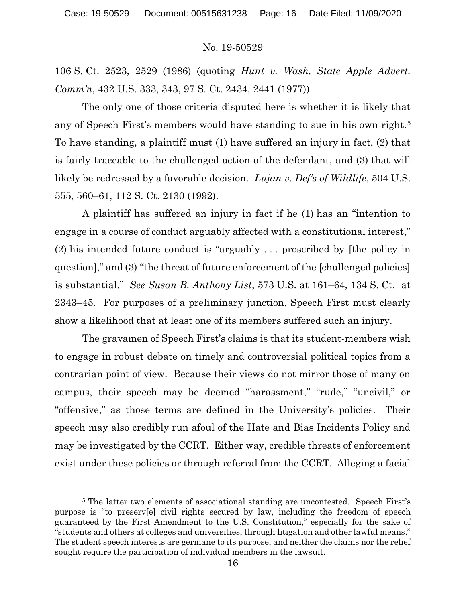106 S. Ct. 2523, 2529 (1986) (quoting Hunt v. Wash. State Apple Advert. Comm'n, 432 U.S. 333, 343, 97 S. Ct. 2434, 2441 (1977)).

The only one of those criteria disputed here is whether it is likely that any of Speech First's members would have standing to sue in his own right.<sup>5</sup> To have standing, a plaintiff must (1) have suffered an injury in fact, (2) that is fairly traceable to the challenged action of the defendant, and (3) that will likely be redressed by a favorable decision. *Lujan v. Def's of Wildlife*, 504 U.S. 555, 560–61, 112 S. Ct. 2130 (1992).

A plaintiff has suffered an injury in fact if he (1) has an "intention to engage in a course of conduct arguably affected with a constitutional interest," (2) his intended future conduct is "arguably . . . proscribed by [the policy in question]," and (3) "the threat of future enforcement of the [challenged policies] is substantial." See Susan B. Anthony List, 573 U.S. at 161–64, 134 S. Ct. at 2343–45. For purposes of a preliminary junction, Speech First must clearly show a likelihood that at least one of its members suffered such an injury.

The gravamen of Speech First's claims is that its student-members wish to engage in robust debate on timely and controversial political topics from a contrarian point of view. Because their views do not mirror those of many on campus, their speech may be deemed "harassment," "rude," "uncivil," or "offensive," as those terms are defined in the University's policies. Their speech may also credibly run afoul of the Hate and Bias Incidents Policy and may be investigated by the CCRT. Either way, credible threats of enforcement exist under these policies or through referral from the CCRT. Alleging a facial

<sup>&</sup>lt;sup>5</sup> The latter two elements of associational standing are uncontested. Speech First's purpose is "to preserv[e] civil rights secured by law, including the freedom of speech guaranteed by the First Amendment to the U.S. Constitution," especially for the sake of "students and others at colleges and universities, through litigation and other lawful means." The student speech interests are germane to its purpose, and neither the claims nor the relief sought require the participation of individual members in the lawsuit.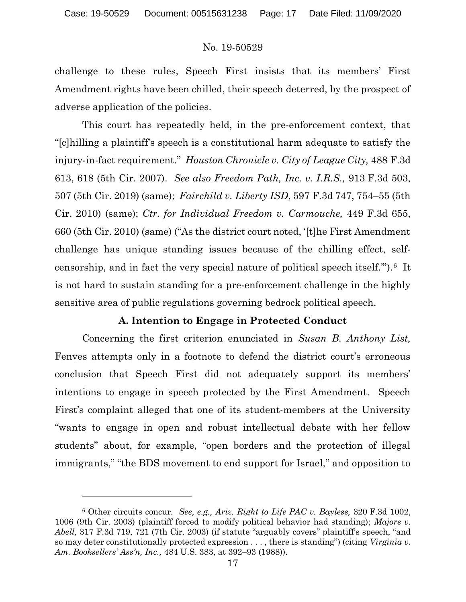challenge to these rules, Speech First insists that its members' First Amendment rights have been chilled, their speech deterred, by the prospect of adverse application of the policies.

This court has repeatedly held, in the pre-enforcement context, that "[c]hilling a plaintiff's speech is a constitutional harm adequate to satisfy the injury-in-fact requirement." Houston Chronicle v. City of League City, 488 F.3d 613, 618 (5th Cir. 2007). See also Freedom Path, Inc. v. I.R.S., 913 F.3d 503, 507 (5th Cir. 2019) (same); Fairchild v. Liberty ISD, 597 F.3d 747, 754–55 (5th Cir. 2010) (same); Ctr. for Individual Freedom v. Carmouche, 449 F.3d 655, 660 (5th Cir. 2010) (same) ("As the district court noted, '[t]he First Amendment challenge has unique standing issues because of the chilling effect, selfcensorship, and in fact the very special nature of political speech itself.'").6 It is not hard to sustain standing for a pre-enforcement challenge in the highly sensitive area of public regulations governing bedrock political speech.

# A. Intention to Engage in Protected Conduct

Concerning the first criterion enunciated in Susan B. Anthony List, Fenves attempts only in a footnote to defend the district court's erroneous conclusion that Speech First did not adequately support its members' intentions to engage in speech protected by the First Amendment. Speech First's complaint alleged that one of its student-members at the University "wants to engage in open and robust intellectual debate with her fellow students" about, for example, "open borders and the protection of illegal immigrants," "the BDS movement to end support for Israel," and opposition to

<sup>&</sup>lt;sup>6</sup> Other circuits concur. See, e.g., Ariz. Right to Life PAC v. Bayless, 320 F.3d 1002, 1006 (9th Cir. 2003) (plaintiff forced to modify political behavior had standing); Majors v. Abell, 317 F.3d 719, 721 (7th Cir. 2003) (if statute "arguably covers" plaintiff's speech, "and so may deter constitutionally protected expression  $\dots$ , there is standing") (citing Virginia v. Am. Booksellers' Ass'n, Inc., 484 U.S. 383, at 392–93 (1988)).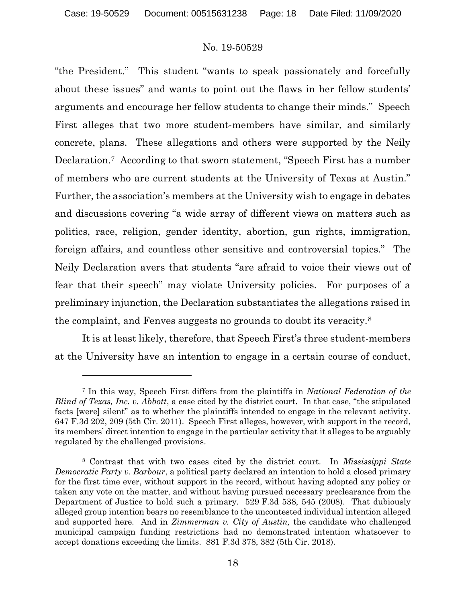"the President." This student "wants to speak passionately and forcefully about these issues" and wants to point out the flaws in her fellow students' arguments and encourage her fellow students to change their minds." Speech First alleges that two more student-members have similar, and similarly concrete, plans. These allegations and others were supported by the Neily Declaration.7 According to that sworn statement, "Speech First has a number of members who are current students at the University of Texas at Austin." Further, the association's members at the University wish to engage in debates and discussions covering "a wide array of different views on matters such as politics, race, religion, gender identity, abortion, gun rights, immigration, foreign affairs, and countless other sensitive and controversial topics." The Neily Declaration avers that students "are afraid to voice their views out of fear that their speech" may violate University policies. For purposes of a preliminary injunction, the Declaration substantiates the allegations raised in the complaint, and Fenves suggests no grounds to doubt its veracity.<sup>8</sup>

It is at least likely, therefore, that Speech First's three student-members at the University have an intention to engage in a certain course of conduct,

<sup>&</sup>lt;sup>7</sup> In this way, Speech First differs from the plaintiffs in National Federation of the Blind of Texas, Inc. v. Abbott, a case cited by the district court. In that case, "the stipulated facts [were] silent" as to whether the plaintiffs intended to engage in the relevant activity. 647 F.3d 202, 209 (5th Cir. 2011). Speech First alleges, however, with support in the record, its members' direct intention to engage in the particular activity that it alleges to be arguably regulated by the challenged provisions.

<sup>&</sup>lt;sup>8</sup> Contrast that with two cases cited by the district court. In Mississippi State Democratic Party v. Barbour, a political party declared an intention to hold a closed primary for the first time ever, without support in the record, without having adopted any policy or taken any vote on the matter, and without having pursued necessary preclearance from the Department of Justice to hold such a primary. 529 F.3d 538, 545 (2008). That dubiously alleged group intention bears no resemblance to the uncontested individual intention alleged and supported here. And in Zimmerman v. City of Austin, the candidate who challenged municipal campaign funding restrictions had no demonstrated intention whatsoever to accept donations exceeding the limits. 881 F.3d 378, 382 (5th Cir. 2018).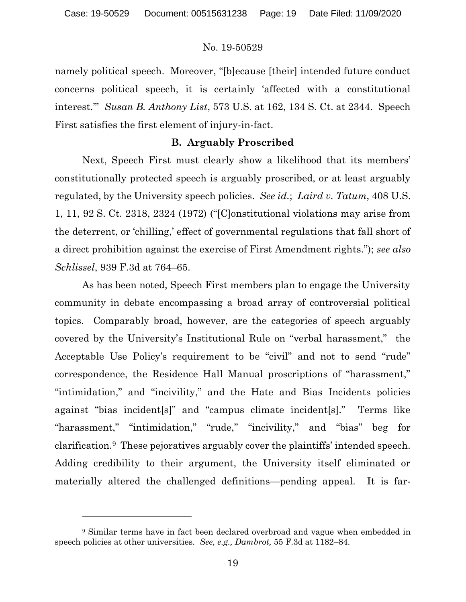namely political speech. Moreover, "[b]ecause [their] intended future conduct concerns political speech, it is certainly 'affected with a constitutional interest." Susan B. Anthony List, 573 U.S. at 162, 134 S. Ct. at 2344. Speech First satisfies the first element of injury-in-fact.

### B. Arguably Proscribed

Next, Speech First must clearly show a likelihood that its members' constitutionally protected speech is arguably proscribed, or at least arguably regulated, by the University speech policies. See id.; Laird v. Tatum, 408 U.S. 1, 11, 92 S. Ct. 2318, 2324 (1972) ("[C]onstitutional violations may arise from the deterrent, or 'chilling,' effect of governmental regulations that fall short of a direct prohibition against the exercise of First Amendment rights."); see also Schlissel, 939 F.3d at 764–65.

As has been noted, Speech First members plan to engage the University community in debate encompassing a broad array of controversial political topics. Comparably broad, however, are the categories of speech arguably covered by the University's Institutional Rule on "verbal harassment," the Acceptable Use Policy's requirement to be "civil" and not to send "rude" correspondence, the Residence Hall Manual proscriptions of "harassment," "intimidation," and "incivility," and the Hate and Bias Incidents policies against "bias incident[s]" and "campus climate incident[s]." Terms like "harassment," "intimidation," "rude," "incivility," and "bias" beg for clarification.9 These pejoratives arguably cover the plaintiffs' intended speech. Adding credibility to their argument, the University itself eliminated or materially altered the challenged definitions—pending appeal. It is far-

<sup>&</sup>lt;sup>9</sup> Similar terms have in fact been declared overbroad and vague when embedded in speech policies at other universities. See, e.g., Dambrot, 55 F.3d at 1182–84.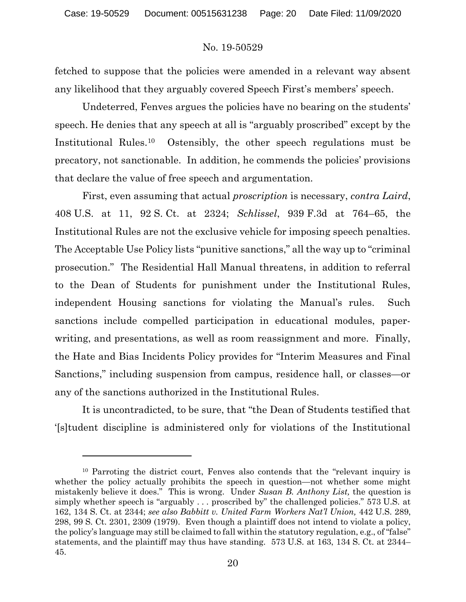fetched to suppose that the policies were amended in a relevant way absent any likelihood that they arguably covered Speech First's members' speech.

Undeterred, Fenves argues the policies have no bearing on the students' speech. He denies that any speech at all is "arguably proscribed" except by the Institutional Rules.10 Ostensibly, the other speech regulations must be precatory, not sanctionable. In addition, he commends the policies' provisions that declare the value of free speech and argumentation.

First, even assuming that actual *proscription* is necessary, *contra Laird*, 408 U.S. at 11, 92 S. Ct. at 2324; Schlissel, 939 F.3d at 764–65, the Institutional Rules are not the exclusive vehicle for imposing speech penalties. The Acceptable Use Policy lists "punitive sanctions," all the way up to "criminal prosecution." The Residential Hall Manual threatens, in addition to referral to the Dean of Students for punishment under the Institutional Rules, independent Housing sanctions for violating the Manual's rules. Such sanctions include compelled participation in educational modules, paperwriting, and presentations, as well as room reassignment and more. Finally, the Hate and Bias Incidents Policy provides for "Interim Measures and Final Sanctions," including suspension from campus, residence hall, or classes—or any of the sanctions authorized in the Institutional Rules.

It is uncontradicted, to be sure, that "the Dean of Students testified that '[s]tudent discipline is administered only for violations of the Institutional

<sup>10</sup> Parroting the district court, Fenves also contends that the "relevant inquiry is whether the policy actually prohibits the speech in question—not whether some might mistakenly believe it does." This is wrong. Under Susan B. Anthony List, the question is simply whether speech is "arguably . . . proscribed by" the challenged policies." 573 U.S. at 162, 134 S. Ct. at 2344; see also Babbitt v. United Farm Workers Nat'l Union, 442 U.S. 289, 298, 99 S. Ct. 2301, 2309 (1979). Even though a plaintiff does not intend to violate a policy, the policy's language may still be claimed to fall within the statutory regulation, e.g., of "false" statements, and the plaintiff may thus have standing. 573 U.S. at 163, 134 S. Ct. at 2344– 45.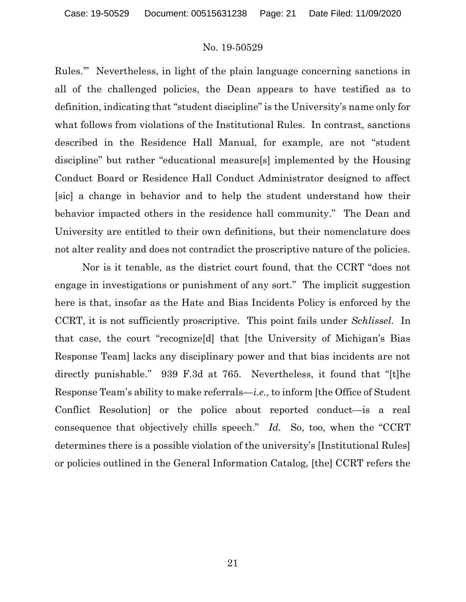Rules.'" Nevertheless, in light of the plain language concerning sanctions in all of the challenged policies, the Dean appears to have testified as to definition, indicating that "student discipline" is the University's name only for what follows from violations of the Institutional Rules. In contrast, sanctions described in the Residence Hall Manual, for example, are not "student discipline" but rather "educational measure[s] implemented by the Housing Conduct Board or Residence Hall Conduct Administrator designed to affect [sic] a change in behavior and to help the student understand how their behavior impacted others in the residence hall community." The Dean and University are entitled to their own definitions, but their nomenclature does not alter reality and does not contradict the proscriptive nature of the policies.

Nor is it tenable, as the district court found, that the CCRT "does not engage in investigations or punishment of any sort." The implicit suggestion here is that, insofar as the Hate and Bias Incidents Policy is enforced by the CCRT, it is not sufficiently proscriptive. This point fails under Schlissel. In that case, the court "recognize[d] that [the University of Michigan's Bias Response Team] lacks any disciplinary power and that bias incidents are not directly punishable." 939 F.3d at 765. Nevertheless, it found that "[t]he Response Team's ability to make referrals—i.e., to inform [the Office of Student Conflict Resolution] or the police about reported conduct—is a real consequence that objectively chills speech." Id. So, too, when the "CCRT determines there is a possible violation of the university's [Institutional Rules] or policies outlined in the General Information Catalog, [the] CCRT refers the

21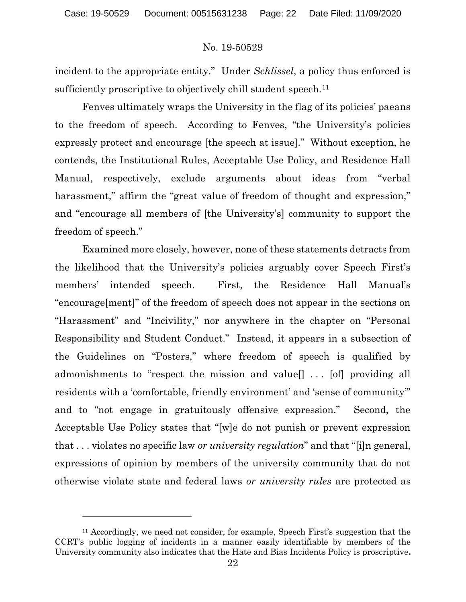incident to the appropriate entity." Under Schlissel, a policy thus enforced is sufficiently proscriptive to objectively chill student speech.<sup>11</sup>

Fenves ultimately wraps the University in the flag of its policies' paeans to the freedom of speech. According to Fenves, "the University's policies expressly protect and encourage [the speech at issue]." Without exception, he contends, the Institutional Rules, Acceptable Use Policy, and Residence Hall Manual, respectively, exclude arguments about ideas from "verbal harassment," affirm the "great value of freedom of thought and expression," and "encourage all members of [the University's] community to support the freedom of speech."

Examined more closely, however, none of these statements detracts from the likelihood that the University's policies arguably cover Speech First's members' intended speech. First, the Residence Hall Manual's "encourage[ment]" of the freedom of speech does not appear in the sections on "Harassment" and "Incivility," nor anywhere in the chapter on "Personal Responsibility and Student Conduct." Instead, it appears in a subsection of the Guidelines on "Posters," where freedom of speech is qualified by admonishments to "respect the mission and value[] . . . [of] providing all residents with a 'comfortable, friendly environment' and 'sense of community'" and to "not engage in gratuitously offensive expression." Second, the Acceptable Use Policy states that "[w]e do not punish or prevent expression that ... violates no specific law or *university regulation*" and that "[i]n general, expressions of opinion by members of the university community that do not otherwise violate state and federal laws or university rules are protected as

<sup>&</sup>lt;sup>11</sup> Accordingly, we need not consider, for example, Speech First's suggestion that the CCRT's public logging of incidents in a manner easily identifiable by members of the University community also indicates that the Hate and Bias Incidents Policy is proscriptive.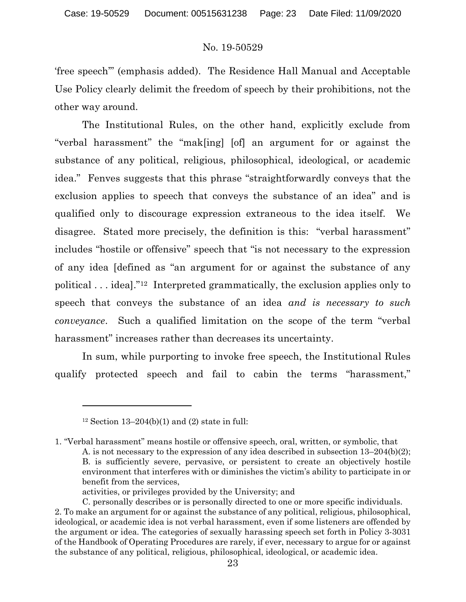'free speech'" (emphasis added). The Residence Hall Manual and Acceptable Use Policy clearly delimit the freedom of speech by their prohibitions, not the other way around.

The Institutional Rules, on the other hand, explicitly exclude from "verbal harassment" the "mak[ing] [of] an argument for or against the substance of any political, religious, philosophical, ideological, or academic idea." Fenves suggests that this phrase "straightforwardly conveys that the exclusion applies to speech that conveys the substance of an idea" and is qualified only to discourage expression extraneous to the idea itself. We disagree. Stated more precisely, the definition is this: "verbal harassment" includes "hostile or offensive" speech that "is not necessary to the expression of any idea [defined as "an argument for or against the substance of any political . . . idea]."12 Interpreted grammatically, the exclusion applies only to speech that conveys the substance of an idea and is necessary to such conveyance. Such a qualified limitation on the scope of the term "verbal harassment" increases rather than decreases its uncertainty.

In sum, while purporting to invoke free speech, the Institutional Rules qualify protected speech and fail to cabin the terms "harassment,"

activities, or privileges provided by the University; and

<sup>&</sup>lt;sup>12</sup> Section 13–204(b)(1) and (2) state in full:

<sup>1. &</sup>quot;Verbal harassment" means hostile or offensive speech, oral, written, or symbolic, that A. is not necessary to the expression of any idea described in subsection 13–204(b)(2); B. is sufficiently severe, pervasive, or persistent to create an objectively hostile environment that interferes with or diminishes the victim's ability to participate in or benefit from the services,

C. personally describes or is personally directed to one or more specific individuals. 2. To make an argument for or against the substance of any political, religious, philosophical, ideological, or academic idea is not verbal harassment, even if some listeners are offended by the argument or idea. The categories of sexually harassing speech set forth in Policy 3-3031 of the Handbook of Operating Procedures are rarely, if ever, necessary to argue for or against the substance of any political, religious, philosophical, ideological, or academic idea.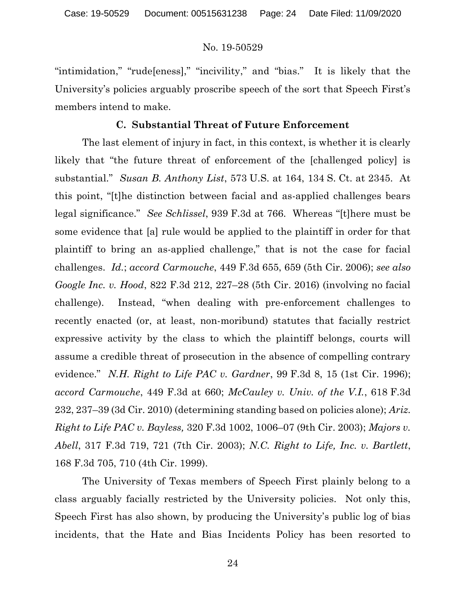"intimidation," "rude[eness]," "incivility," and "bias." It is likely that the University's policies arguably proscribe speech of the sort that Speech First's members intend to make.

# C. Substantial Threat of Future Enforcement

The last element of injury in fact, in this context, is whether it is clearly likely that "the future threat of enforcement of the [challenged policy] is substantial." Susan B. Anthony List, 573 U.S. at 164, 134 S. Ct. at 2345. At this point, "[t]he distinction between facial and as-applied challenges bears legal significance." See Schlissel, 939 F.3d at 766. Whereas "[t]here must be some evidence that [a] rule would be applied to the plaintiff in order for that plaintiff to bring an as-applied challenge," that is not the case for facial challenges. Id.; accord Carmouche, 449 F.3d 655, 659 (5th Cir. 2006); see also Google Inc. v. Hood, 822 F.3d 212, 227–28 (5th Cir. 2016) (involving no facial challenge). Instead, "when dealing with pre-enforcement challenges to recently enacted (or, at least, non-moribund) statutes that facially restrict expressive activity by the class to which the plaintiff belongs, courts will assume a credible threat of prosecution in the absence of compelling contrary evidence." N.H. Right to Life PAC v. Gardner,  $99$  F.3d 8, 15 (1st Cir. 1996); accord Carmouche, 449 F.3d at 660; McCauley v. Univ. of the V.I., 618 F.3d 232, 237–39 (3d Cir. 2010) (determining standing based on policies alone); Ariz. Right to Life PAC v. Bayless, 320 F.3d 1002, 1006–07 (9th Cir. 2003); Majors v. Abell, 317 F.3d 719, 721 (7th Cir. 2003); N.C. Right to Life, Inc. v. Bartlett, 168 F.3d 705, 710 (4th Cir. 1999).

The University of Texas members of Speech First plainly belong to a class arguably facially restricted by the University policies. Not only this, Speech First has also shown, by producing the University's public log of bias incidents, that the Hate and Bias Incidents Policy has been resorted to

24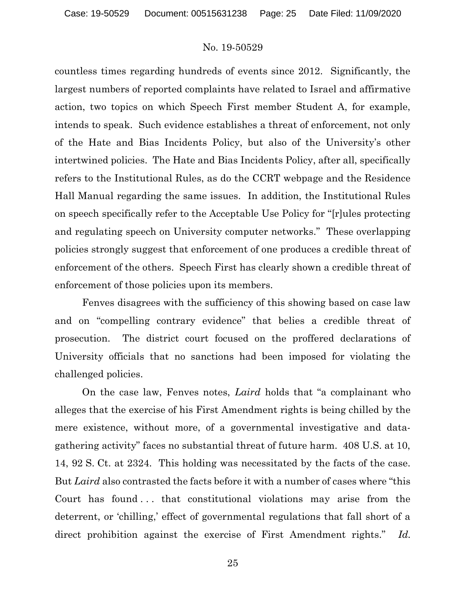countless times regarding hundreds of events since 2012. Significantly, the largest numbers of reported complaints have related to Israel and affirmative action, two topics on which Speech First member Student A, for example, intends to speak. Such evidence establishes a threat of enforcement, not only of the Hate and Bias Incidents Policy, but also of the University's other intertwined policies. The Hate and Bias Incidents Policy, after all, specifically refers to the Institutional Rules, as do the CCRT webpage and the Residence Hall Manual regarding the same issues. In addition, the Institutional Rules on speech specifically refer to the Acceptable Use Policy for "[r]ules protecting and regulating speech on University computer networks." These overlapping policies strongly suggest that enforcement of one produces a credible threat of enforcement of the others. Speech First has clearly shown a credible threat of enforcement of those policies upon its members.

 Fenves disagrees with the sufficiency of this showing based on case law and on "compelling contrary evidence" that belies a credible threat of prosecution. The district court focused on the proffered declarations of University officials that no sanctions had been imposed for violating the challenged policies.

 On the case law, Fenves notes, Laird holds that "a complainant who alleges that the exercise of his First Amendment rights is being chilled by the mere existence, without more, of a governmental investigative and datagathering activity" faces no substantial threat of future harm. 408 U.S. at 10, 14, 92 S. Ct. at 2324. This holding was necessitated by the facts of the case. But Laird also contrasted the facts before it with a number of cases where "this" Court has found ... that constitutional violations may arise from the deterrent, or 'chilling,' effect of governmental regulations that fall short of a direct prohibition against the exercise of First Amendment rights." Id.

25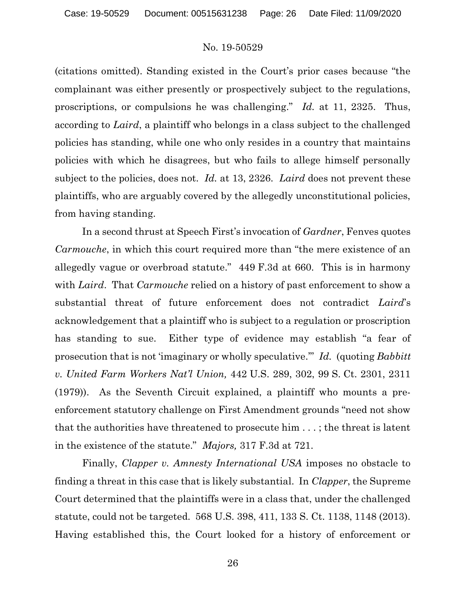(citations omitted). Standing existed in the Court's prior cases because "the complainant was either presently or prospectively subject to the regulations, proscriptions, or compulsions he was challenging." Id. at 11, 2325. Thus, according to Laird, a plaintiff who belongs in a class subject to the challenged policies has standing, while one who only resides in a country that maintains policies with which he disagrees, but who fails to allege himself personally subject to the policies, does not. Id. at 13, 2326. Laird does not prevent these plaintiffs, who are arguably covered by the allegedly unconstitutional policies, from having standing.

 In a second thrust at Speech First's invocation of Gardner, Fenves quotes Carmouche, in which this court required more than "the mere existence of an allegedly vague or overbroad statute." 449 F.3d at 660. This is in harmony with Laird. That Carmouche relied on a history of past enforcement to show a substantial threat of future enforcement does not contradict Laird's acknowledgement that a plaintiff who is subject to a regulation or proscription has standing to sue. Either type of evidence may establish "a fear of prosecution that is not 'imaginary or wholly speculative.'" Id. (quoting Babbitt v. United Farm Workers Nat'l Union, 442 U.S. 289, 302, 99 S. Ct. 2301, 2311 (1979)). As the Seventh Circuit explained, a plaintiff who mounts a preenforcement statutory challenge on First Amendment grounds "need not show that the authorities have threatened to prosecute him . . . ; the threat is latent in the existence of the statute." Majors, 317 F.3d at 721.

Finally, *Clapper v. Amnesty International USA* imposes no obstacle to finding a threat in this case that is likely substantial. In *Clapper*, the Supreme Court determined that the plaintiffs were in a class that, under the challenged statute, could not be targeted. 568 U.S. 398, 411, 133 S. Ct. 1138, 1148 (2013). Having established this, the Court looked for a history of enforcement or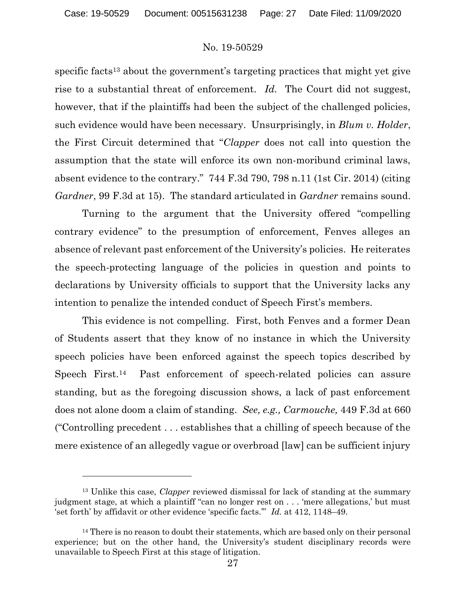specific facts13 about the government's targeting practices that might yet give rise to a substantial threat of enforcement. Id. The Court did not suggest, however, that if the plaintiffs had been the subject of the challenged policies, such evidence would have been necessary. Unsurprisingly, in Blum v. Holder, the First Circuit determined that "Clapper does not call into question the assumption that the state will enforce its own non-moribund criminal laws, absent evidence to the contrary." 744 F.3d 790, 798 n.11 (1st Cir. 2014) (citing Gardner, 99 F.3d at 15). The standard articulated in Gardner remains sound.

 Turning to the argument that the University offered "compelling contrary evidence" to the presumption of enforcement, Fenves alleges an absence of relevant past enforcement of the University's policies. He reiterates the speech-protecting language of the policies in question and points to declarations by University officials to support that the University lacks any intention to penalize the intended conduct of Speech First's members.

This evidence is not compelling. First, both Fenves and a former Dean of Students assert that they know of no instance in which the University speech policies have been enforced against the speech topics described by Speech First.<sup>14</sup> Past enforcement of speech-related policies can assure standing, but as the foregoing discussion shows, a lack of past enforcement does not alone doom a claim of standing. See, e.g., Carmouche, 449 F.3d at 660 ("Controlling precedent . . . establishes that a chilling of speech because of the mere existence of an allegedly vague or overbroad [law] can be sufficient injury

<sup>&</sup>lt;sup>13</sup> Unlike this case, *Clapper* reviewed dismissal for lack of standing at the summary judgment stage, at which a plaintiff "can no longer rest on . . . 'mere allegations,' but must 'set forth' by affidavit or other evidence 'specific facts.'" Id. at 412, 1148–49.

<sup>&</sup>lt;sup>14</sup> There is no reason to doubt their statements, which are based only on their personal experience; but on the other hand, the University's student disciplinary records were unavailable to Speech First at this stage of litigation.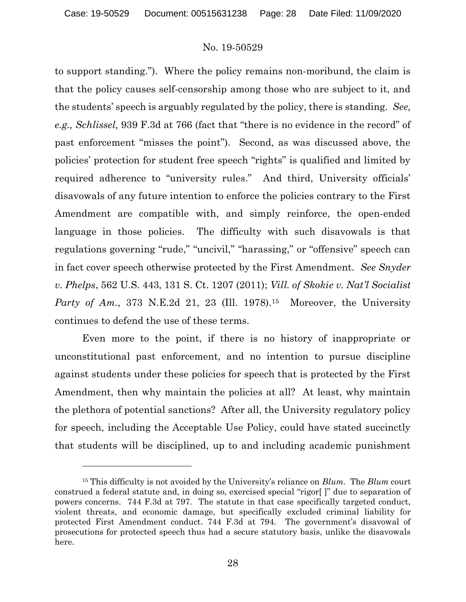to support standing."). Where the policy remains non-moribund, the claim is that the policy causes self-censorship among those who are subject to it, and the students' speech is arguably regulated by the policy, there is standing. See, e.g., Schlissel, 939 F.3d at 766 (fact that "there is no evidence in the record" of past enforcement "misses the point"). Second, as was discussed above, the policies' protection for student free speech "rights" is qualified and limited by required adherence to "university rules." And third, University officials' disavowals of any future intention to enforce the policies contrary to the First Amendment are compatible with, and simply reinforce, the open-ended language in those policies. The difficulty with such disavowals is that regulations governing "rude," "uncivil," "harassing," or "offensive" speech can in fact cover speech otherwise protected by the First Amendment. See Snyder v. Phelps, 562 U.S. 443, 131 S. Ct. 1207 (2011); Vill. of Skokie v. Nat'l Socialist Party of Am., 373 N.E.2d 21, 23 (Ill. 1978).<sup>15</sup> Moreover, the University continues to defend the use of these terms.

 Even more to the point, if there is no history of inappropriate or unconstitutional past enforcement, and no intention to pursue discipline against students under these policies for speech that is protected by the First Amendment, then why maintain the policies at all? At least, why maintain the plethora of potential sanctions? After all, the University regulatory policy for speech, including the Acceptable Use Policy, could have stated succinctly that students will be disciplined, up to and including academic punishment

<sup>&</sup>lt;sup>15</sup> This difficulty is not avoided by the University's reliance on  $Blum$ . The  $Blum$  court construed a federal statute and, in doing so, exercised special "rigor[ ]" due to separation of powers concerns. 744 F.3d at 797. The statute in that case specifically targeted conduct, violent threats, and economic damage, but specifically excluded criminal liability for protected First Amendment conduct. 744 F.3d at 794. The government's disavowal of prosecutions for protected speech thus had a secure statutory basis, unlike the disavowals here.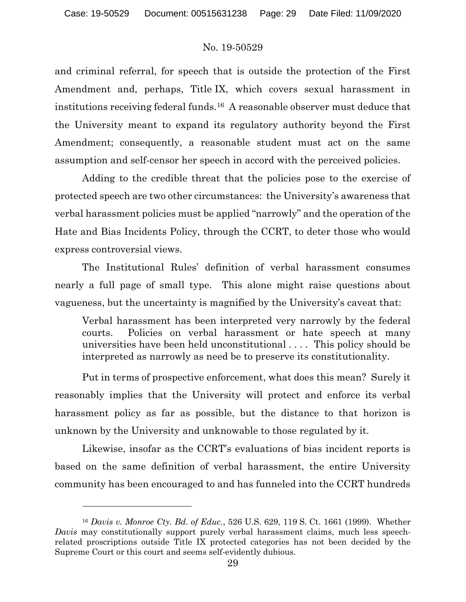and criminal referral, for speech that is outside the protection of the First Amendment and, perhaps, Title IX, which covers sexual harassment in institutions receiving federal funds.16 A reasonable observer must deduce that the University meant to expand its regulatory authority beyond the First Amendment; consequently, a reasonable student must act on the same assumption and self-censor her speech in accord with the perceived policies.

 Adding to the credible threat that the policies pose to the exercise of protected speech are two other circumstances: the University's awareness that verbal harassment policies must be applied "narrowly" and the operation of the Hate and Bias Incidents Policy, through the CCRT, to deter those who would express controversial views.

 The Institutional Rules' definition of verbal harassment consumes nearly a full page of small type. This alone might raise questions about vagueness, but the uncertainty is magnified by the University's caveat that:

Verbal harassment has been interpreted very narrowly by the federal courts. Policies on verbal harassment or hate speech at many universities have been held unconstitutional . . . . This policy should be interpreted as narrowly as need be to preserve its constitutionality.

 Put in terms of prospective enforcement, what does this mean? Surely it reasonably implies that the University will protect and enforce its verbal harassment policy as far as possible, but the distance to that horizon is unknown by the University and unknowable to those regulated by it.

 Likewise, insofar as the CCRT's evaluations of bias incident reports is based on the same definition of verbal harassment, the entire University community has been encouraged to and has funneled into the CCRT hundreds

<sup>&</sup>lt;sup>16</sup> Davis v. Monroe Cty. Bd. of Educ., 526 U.S. 629, 119 S. Ct. 1661 (1999). Whether Davis may constitutionally support purely verbal harassment claims, much less speechrelated proscriptions outside Title IX protected categories has not been decided by the Supreme Court or this court and seems self-evidently dubious.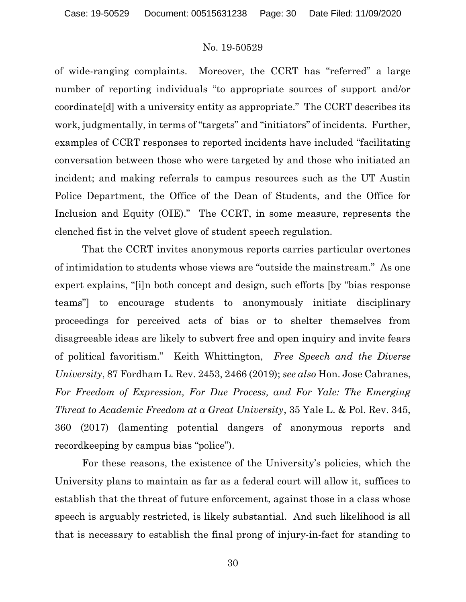of wide-ranging complaints. Moreover, the CCRT has "referred" a large number of reporting individuals "to appropriate sources of support and/or coordinate[d] with a university entity as appropriate." The CCRT describes its work, judgmentally, in terms of "targets" and "initiators" of incidents. Further, examples of CCRT responses to reported incidents have included "facilitating conversation between those who were targeted by and those who initiated an incident; and making referrals to campus resources such as the UT Austin Police Department, the Office of the Dean of Students, and the Office for Inclusion and Equity (OIE)." The CCRT, in some measure, represents the clenched fist in the velvet glove of student speech regulation.

 That the CCRT invites anonymous reports carries particular overtones of intimidation to students whose views are "outside the mainstream." As one expert explains, "[i]n both concept and design, such efforts [by "bias response teams"] to encourage students to anonymously initiate disciplinary proceedings for perceived acts of bias or to shelter themselves from disagreeable ideas are likely to subvert free and open inquiry and invite fears of political favoritism." Keith Whittington, Free Speech and the Diverse University, 87 Fordham L. Rev. 2453, 2466 (2019); see also Hon. Jose Cabranes, For Freedom of Expression, For Due Process, and For Yale: The Emerging Threat to Academic Freedom at a Great University, 35 Yale L. & Pol. Rev. 345, 360 (2017) (lamenting potential dangers of anonymous reports and recordkeeping by campus bias "police").

 For these reasons, the existence of the University's policies, which the University plans to maintain as far as a federal court will allow it, suffices to establish that the threat of future enforcement, against those in a class whose speech is arguably restricted, is likely substantial. And such likelihood is all that is necessary to establish the final prong of injury-in-fact for standing to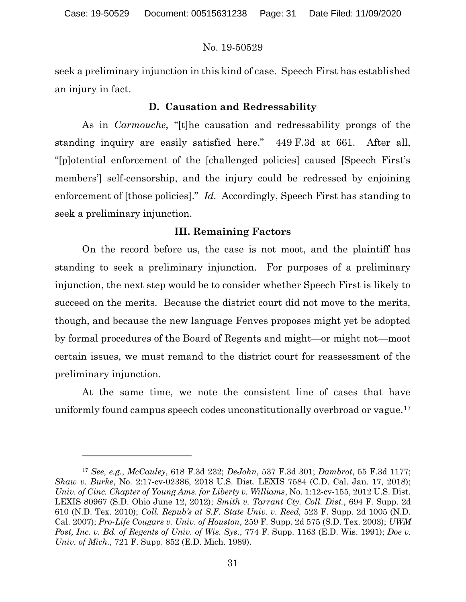seek a preliminary injunction in this kind of case. Speech First has established an injury in fact.

# D. Causation and Redressability

 As in Carmouche, "[t]he causation and redressability prongs of the standing inquiry are easily satisfied here." 449 F.3d at 661. After all, "[p]otential enforcement of the [challenged policies] caused [Speech First's members'] self-censorship, and the injury could be redressed by enjoining enforcement of [those policies]." Id. Accordingly, Speech First has standing to seek a preliminary injunction.

### III. Remaining Factors

 On the record before us, the case is not moot, and the plaintiff has standing to seek a preliminary injunction. For purposes of a preliminary injunction, the next step would be to consider whether Speech First is likely to succeed on the merits. Because the district court did not move to the merits, though, and because the new language Fenves proposes might yet be adopted by formal procedures of the Board of Regents and might—or might not—moot certain issues, we must remand to the district court for reassessment of the preliminary injunction.

 At the same time, we note the consistent line of cases that have uniformly found campus speech codes unconstitutionally overbroad or vague.<sup>17</sup>

<sup>17</sup> See, e.g., McCauley, 618 F.3d 232; DeJohn, 537 F.3d 301; Dambrot, 55 F.3d 1177; Shaw v. Burke, No. 2:17-cv-02386, 2018 U.S. Dist. LEXIS 7584 (C.D. Cal. Jan. 17, 2018); Univ. of Cinc. Chapter of Young Ams. for Liberty v. Williams, No. 1:12-cv-155, 2012 U.S. Dist. LEXIS 80967 (S.D. Ohio June 12, 2012); Smith v. Tarrant Cty. Coll. Dist., 694 F. Supp. 2d 610 (N.D. Tex. 2010); Coll. Repub's at S.F. State Univ. v. Reed, 523 F. Supp. 2d 1005 (N.D. Cal. 2007); Pro-Life Cougars v. Univ. of Houston, 259 F. Supp. 2d 575 (S.D. Tex. 2003); UWM Post, Inc. v. Bd. of Regents of Univ. of Wis. Sys., 774 F. Supp. 1163 (E.D. Wis. 1991); Doe v. Univ. of Mich., 721 F. Supp. 852 (E.D. Mich. 1989).